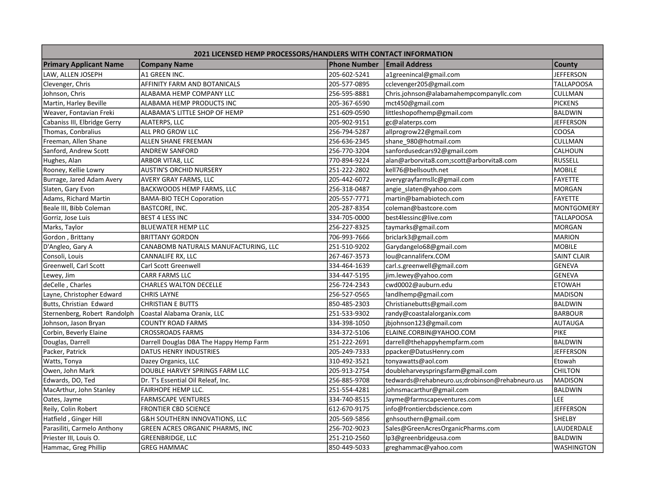| 2021 LICENSED HEMP PROCESSORS/HANDLERS WITH CONTACT INFORMATION |                                         |                     |                                                |                   |  |  |  |
|-----------------------------------------------------------------|-----------------------------------------|---------------------|------------------------------------------------|-------------------|--|--|--|
| <b>Primary Applicant Name</b>                                   | <b>Company Name</b>                     | <b>Phone Number</b> | <b>Email Address</b>                           | <b>County</b>     |  |  |  |
| LAW, ALLEN JOSEPH                                               | A1 GREEN INC.                           | 205-602-5241        | a1greenincal@gmail.com                         | <b>JEFFERSON</b>  |  |  |  |
| Clevenger, Chris                                                | AFFINITY FARM AND BOTANICALS            | 205-577-0895        | cclevenger205@gmail.com                        | <b>TALLAPOOSA</b> |  |  |  |
| Johnson, Chris                                                  | ALABAMA HEMP COMPANY LLC                | 256-595-8881        | Chris.johnson@alabamahempcompanyllc.com        | CULLMAN           |  |  |  |
| Martin, Harley Beville                                          | ALABAMA HEMP PRODUCTS INC               | 205-367-6590        | mct450@gmail.com                               | <b>PICKENS</b>    |  |  |  |
| Weaver, Fontavian Freki                                         | ALABAMA'S LITTLE SHOP OF HEMP           | 251-609-0590        | littleshopofhemp@gmail.com                     | <b>BALDWIN</b>    |  |  |  |
| Cabaniss III, Elbridge Gerry                                    | ALATERPS, LLC                           | 205-902-9151        | gc@alaterps.com                                | <b>JEFFERSON</b>  |  |  |  |
| Thomas, Conbralius                                              | ALL PRO GROW LLC                        | 256-794-5287        | allprogrow22@gmail.com                         | COOSA             |  |  |  |
| Freeman, Allen Shane                                            | ALLEN SHANE FREEMAN                     | 256-636-2345        | shane 980@hotmail.com                          | CULLMAN           |  |  |  |
| Sanford, Andrew Scott                                           | <b>ANDREW SANFORD</b>                   | 256-770-3204        | sanfordusedcars92@gmail.com                    | <b>CALHOUN</b>    |  |  |  |
| Hughes, Alan                                                    | ARBOR VITA8, LLC                        | 770-894-9224        | alan@arborvita8.com;scott@arborvita8.com       | <b>RUSSELL</b>    |  |  |  |
| Rooney, Kellie Lowry                                            | <b>AUSTIN'S ORCHID NURSERY</b>          | 251-222-2802        | kell76@bellsouth.net                           | <b>MOBILE</b>     |  |  |  |
| Burrage, Jared Adam Avery                                       | AVERY GRAY FARMS, LLC                   | 205-442-6072        | averygrayfarmsllc@gmail.com                    | <b>FAYETTE</b>    |  |  |  |
| Slaten, Gary Evon                                               | BACKWOODS HEMP FARMS, LLC               | 256-318-0487        | angie_slaten@yahoo.com                         | <b>MORGAN</b>     |  |  |  |
| Adams, Richard Martin                                           | <b>BAMA-BIO TECH Coporation</b>         | 205-557-7771        | martin@bamabiotech.com                         | <b>FAYETTE</b>    |  |  |  |
| Beale III, Bibb Coleman                                         | BASTCORE, INC.                          | 205-287-8354        | coleman@bastcore.com                           | <b>MONTGOMERY</b> |  |  |  |
| Gorriz, Jose Luis                                               | <b>BEST 4 LESS INC</b>                  | 334-705-0000        | best4lessinc@live.com                          | <b>TALLAPOOSA</b> |  |  |  |
| Marks, Taylor                                                   | <b>BLUEWATER HEMP LLC</b>               | 256-227-8325        | taymarks@gmail.com                             | MORGAN            |  |  |  |
| Gordon, Brittany                                                | <b>BRITTANY GORDON</b>                  | 706-993-7666        | briclark3@gmail.com                            | <b>MARION</b>     |  |  |  |
| D'Angleo, Gary A                                                | CANABOMB NATURALS MANUFACTURING, LLC    | 251-510-9202        | Garydangelo68@gmail.com                        | <b>MOBILE</b>     |  |  |  |
| Consoli, Louis                                                  | CANNALIFE RX, LLC                       | 267-467-3573        | lou@cannaliferx.COM                            | SAINT CLAIR       |  |  |  |
| Greenwell, Carl Scott                                           | Carl Scott Greenwell                    | 334-464-1639        | carl.s.greenwell@gmail.com                     | GENEVA            |  |  |  |
| Lewey, Jim                                                      | <b>CARR FARMS LLC</b>                   | 334-447-5195        | jim.lewey@yahoo.com                            | <b>GENEVA</b>     |  |  |  |
| deCelle, Charles                                                | <b>CHARLES WALTON DECELLE</b>           | 256-724-2343        | cwd0002@auburn.edu                             | <b>ETOWAH</b>     |  |  |  |
| Layne, Christopher Edward                                       | <b>CHRIS LAYNE</b>                      | 256-527-0565        | landlhemp@gmail.com                            | MADISON           |  |  |  |
| Butts, Christian Edward                                         | <b>CHRISTIAN E BUTTS</b>                | 850-485-2303        | Christianebutts@gmail.com                      | BALDWIN           |  |  |  |
| Sternenberg, Robert Randolph                                    | Coastal Alabama Oranix, LLC             | 251-533-9302        | randy@coastalalorganix.com                     | BARBOUR           |  |  |  |
| Johnson, Jason Bryan                                            | <b>COUNTY ROAD FARMS</b>                | 334-398-1050        | jbjohnson123@gmail.com                         | AUTAUGA           |  |  |  |
| Corbin, Beverly Elaine                                          | <b>CROSSROADS FARMS</b>                 | 334-372-5106        | ELAINE.CORBIN@YAHOO.COM                        | PIKE              |  |  |  |
| Douglas, Darrell                                                | Darrell Douglas DBA The Happy Hemp Farm | 251-222-2691        | darrell@thehappyhempfarm.com                   | <b>BALDWIN</b>    |  |  |  |
| Packer, Patrick                                                 | DATUS HENRY INDUSTRIES                  | 205-249-7333        | ppacker@DatusHenry.com                         | <b>JEFFERSON</b>  |  |  |  |
| Watts, Tonya                                                    | Dazey Organics, LLC                     | 310-492-3521        | tonyawatts@aol.com                             | Etowah            |  |  |  |
| Owen, John Mark                                                 | DOUBLE HARVEY SPRINGS FARM LLC          | 205-913-2754        | doubleharveyspringsfarm@gmail.com              | <b>CHILTON</b>    |  |  |  |
| Edwards, DO, Ted                                                | Dr. T's Essential Oil Releaf, Inc.      | 256-885-9708        | tedwards@rehabneuro.us;drobinson@rehabneuro.us | <b>MADISON</b>    |  |  |  |
| MacArthur, John Stanley                                         | FAIRHOPE HEMP LLC.                      | 251-554-4281        | johnsmacarthur@gmail.com                       | <b>BALDWIN</b>    |  |  |  |
| Oates, Jayme                                                    | <b>FARMSCAPE VENTURES</b>               | 334-740-8515        | Jayme@farmscapeventures.com                    | LEE               |  |  |  |
| Reily, Colin Robert                                             | <b>FRONTIER CBD SCIENCE</b>             | 612-670-9175        | info@frontiercbdscience.com                    | <b>JEFFERSON</b>  |  |  |  |
| Hatfield, Ginger Hill                                           | G&H SOUTHERN INNOVATIONS, LLC           | 205-569-5856        | gnhsouthern@gmail.com                          | SHELBY            |  |  |  |
| Parasiliti, Carmelo Anthony                                     | GREEN ACRES ORGANIC PHARMS, INC         | 256-702-9023        | Sales@GreenAcresOrganicPharms.com              | LAUDERDALE        |  |  |  |
| Priester III, Louis O.                                          | GREENBRIDGE, LLC                        | 251-210-2560        | lp3@greenbridgeusa.com                         | <b>BALDWIN</b>    |  |  |  |
| Hammac, Greg Phillip                                            | <b>GREG HAMMAC</b>                      | 850-449-5033        | greghammac@yahoo.com                           | WASHINGTON        |  |  |  |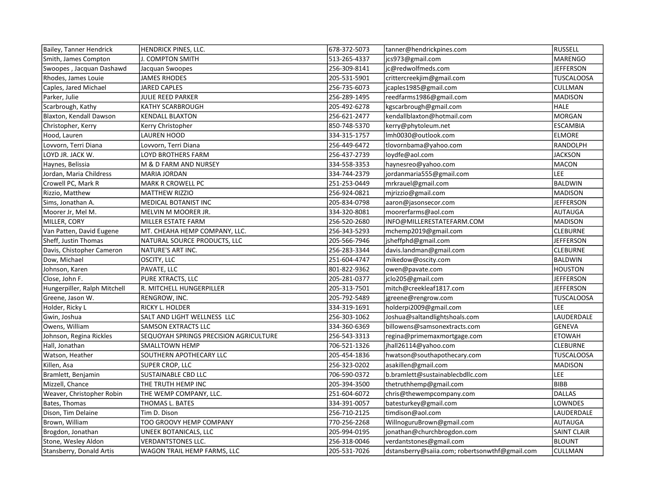| Bailey, Tanner Hendrick      | <b>HENDRICK PINES, LLC.</b>            | 678-372-5073 | tanner@hendrickpines.com                       | <b>RUSSELL</b>    |
|------------------------------|----------------------------------------|--------------|------------------------------------------------|-------------------|
| Smith, James Compton         | J. COMPTON SMITH                       | 513-265-4337 | jcs973@gmail.com                               | MARENGO           |
| Swoopes, Jacquan Dashawd     | Jacquan Swoopes                        | 256-309-8141 | jc@redwolfmeds.com                             | <b>JEFFERSON</b>  |
| Rhodes, James Louie          | <b>JAMES RHODES</b>                    | 205-531-5901 | crittercreekjim@gmail.com                      | <b>TUSCALOOSA</b> |
| Caples, Jared Michael        | <b>JARED CAPLES</b>                    | 256-735-6073 | jcaples1985@gmail.com                          | <b>CULLMAN</b>    |
| Parker, Julie                | JULIE REED PARKER                      | 256-289-1495 | reedfarms1986@gmail.com                        | <b>MADISON</b>    |
| Scarbrough, Kathy            | KATHY SCARBROUGH                       | 205-492-6278 | kgscarbrough@gmail.com                         | <b>HALE</b>       |
| Blaxton, Kendall Dawson      | <b>KENDALL BLAXTON</b>                 | 256-621-2477 | kendallblaxton@hotmail.com                     | <b>MORGAN</b>     |
| Christopher, Kerry           | Kerry Christopher                      | 850-748-5370 | kerry@phytoleum.net                            | <b>ESCAMBIA</b>   |
| Hood, Lauren                 | <b>LAUREN HOOD</b>                     | 334-315-1757 | Imh0030@outlook.com                            | <b>ELMORE</b>     |
| Lovvorn, Terri Diana         | Lovvorn. Terri Diana                   | 256-449-6472 | tlovornbama@yahoo.com                          | RANDOLPH          |
| LOYD JR. JACK W.             | LOYD BROTHERS FARM                     | 256-437-2739 | loydfe@aol.com                                 | <b>JACKSON</b>    |
| Haynes, Belissia             | M & D FARM AND NURSEY                  | 334-558-3353 | haynesreo@yahoo.com                            | <b>MACON</b>      |
| Jordan, Maria Childress      | <b>MARIA JORDAN</b>                    | 334-744-2379 | jordanmaria555@gmail.com                       | LEE               |
| Crowell PC, Mark R           | MARK R CROWELL PC                      | 251-253-0449 | mrkrauel@gmail.com                             | <b>BALDWIN</b>    |
| Rizzio, Matthew              | <b>MATTHEW RIZZIO</b>                  | 256-924-0821 | mjrizzio@gmail.com                             | <b>MADISON</b>    |
| Sims, Jonathan A.            | MEDICAL BOTANIST INC                   | 205-834-0798 | aaron@jasonsecor.com                           | <b>JEFFERSON</b>  |
| Moorer Jr, Mel M.            | MELVIN M MOORER JR.                    | 334-320-8081 | moorerfarms@aol.com                            | AUTAUGA           |
| MILLER, CORY                 | MILLER ESTATE FARM                     | 256-520-2680 | INFO@MILLERESTATEFARM.COM                      | <b>MADISON</b>    |
| Van Patten, David Eugene     | MT. CHEAHA HEMP COMPANY, LLC.          | 256-343-5293 | mchemp2019@gmail.com                           | <b>CLEBURNE</b>   |
| Sheff, Justin Thomas         | NATURAL SOURCE PRODUCTS, LLC           | 205-566-7946 | jsheffphd@gmail.com                            | <b>JEFFERSON</b>  |
| Davis, Chistopher Cameron    | NATURE'S ART INC.                      | 256-283-3344 | davis.landman@gmail.com                        | <b>CLEBURNE</b>   |
| Dow, Michael                 | OSCITY, LLC                            | 251-604-4747 | mikedow@oscity.com                             | <b>BALDWIN</b>    |
| Johnson, Karen               | PAVATE, LLC                            | 801-822-9362 | owen@pavate.com                                | <b>HOUSTON</b>    |
| Close, John F.               | PURE XTRACTS, LLC                      | 205-281-0377 | jclo205@gmail.com                              | <b>JEFFERSON</b>  |
| Hungerpiller, Ralph Mitchell | R. MITCHELL HUNGERPILLER               | 205-313-7501 | mitch@creekleaf1817.com                        | <b>JEFFERSON</b>  |
| Greene, Jason W.             | RENGROW, INC.                          | 205-792-5489 | jgreene@rengrow.com                            | TUSCALOOSA        |
| Holder, Ricky L              | RICKY L. HOLDER                        | 334-319-1691 | holderpi2009@gmail.com                         | <b>LEE</b>        |
| Gwin, Joshua                 | SALT AND LIGHT WELLNESS LLC            | 256-303-1062 | Joshua@saltandlightshoals.com                  | LAUDERDALE        |
| Owens, William               | <b>SAMSON EXTRACTS LLC</b>             | 334-360-6369 | billowens@samsonextracts.com                   | <b>GENEVA</b>     |
| Johnson, Regina Rickles      | SEQUOYAH SPRINGS PRECISION AGRICULTURE | 256-543-3313 | regina@primemaxmortgage.com                    | <b>ETOWAH</b>     |
| Hall, Jonathan               | <b>SMALLTOWN HEMP</b>                  | 706-521-1326 | jhall26114@yahoo.com                           | <b>CLEBURNE</b>   |
| Watson, Heather              | SOUTHERN APOTHECARY LLC                | 205-454-1836 | hwatson@southapothecary.com                    | <b>TUSCALOOSA</b> |
| Killen, Asa                  | SUPER CROP, LLC                        | 256-323-0202 | asakillen@gmail.com                            | <b>MADISON</b>    |
| Bramlett, Benjamin           | SUSTAINABLE CBD LLC                    | 706-590-0372 | b.bramlett@sustainablecbdllc.com               | <b>LEE</b>        |
| Mizzell, Chance              | THE TRUTH HEMP INC                     | 205-394-3500 | thetruthhemp@gmail.com                         | <b>BIBB</b>       |
| Weaver, Christopher Robin    | THE WEMP COMPANY, LLC.                 | 251-604-6072 | chris@thewempcompany.com                       | <b>DALLAS</b>     |
| Bates, Thomas                | THOMAS L. BATES                        | 334-391-0057 | batesturkey@gmail.com                          | LOWNDES           |
| Dison, Tim Delaine           | Tim D. Dison                           | 256-710-2125 | timdison@aol.com                               | LAUDERDALE        |
| Brown, William               | TOO GROOVY HEMP COMPANY                | 770-256-2268 | WillnoguruBrown@gmail.com                      | <b>AUTAUGA</b>    |
| Brogdon, Jonathan            | UNEEK BOTANICALS, LLC                  | 205-994-0195 | jonathan@churchbrogdon.com                     | SAINT CLAIR       |
| Stone, Wesley Aldon          | <b>VERDANTSTONES LLC.</b>              | 256-318-0046 | verdantstones@gmail.com                        | <b>BLOUNT</b>     |
| Stansberry, Donald Artis     | WAGON TRAIL HEMP FARMS, LLC            | 205-531-7026 | dstansberry@saiia.com; robertsonwthf@gmail.com | CULLMAN           |